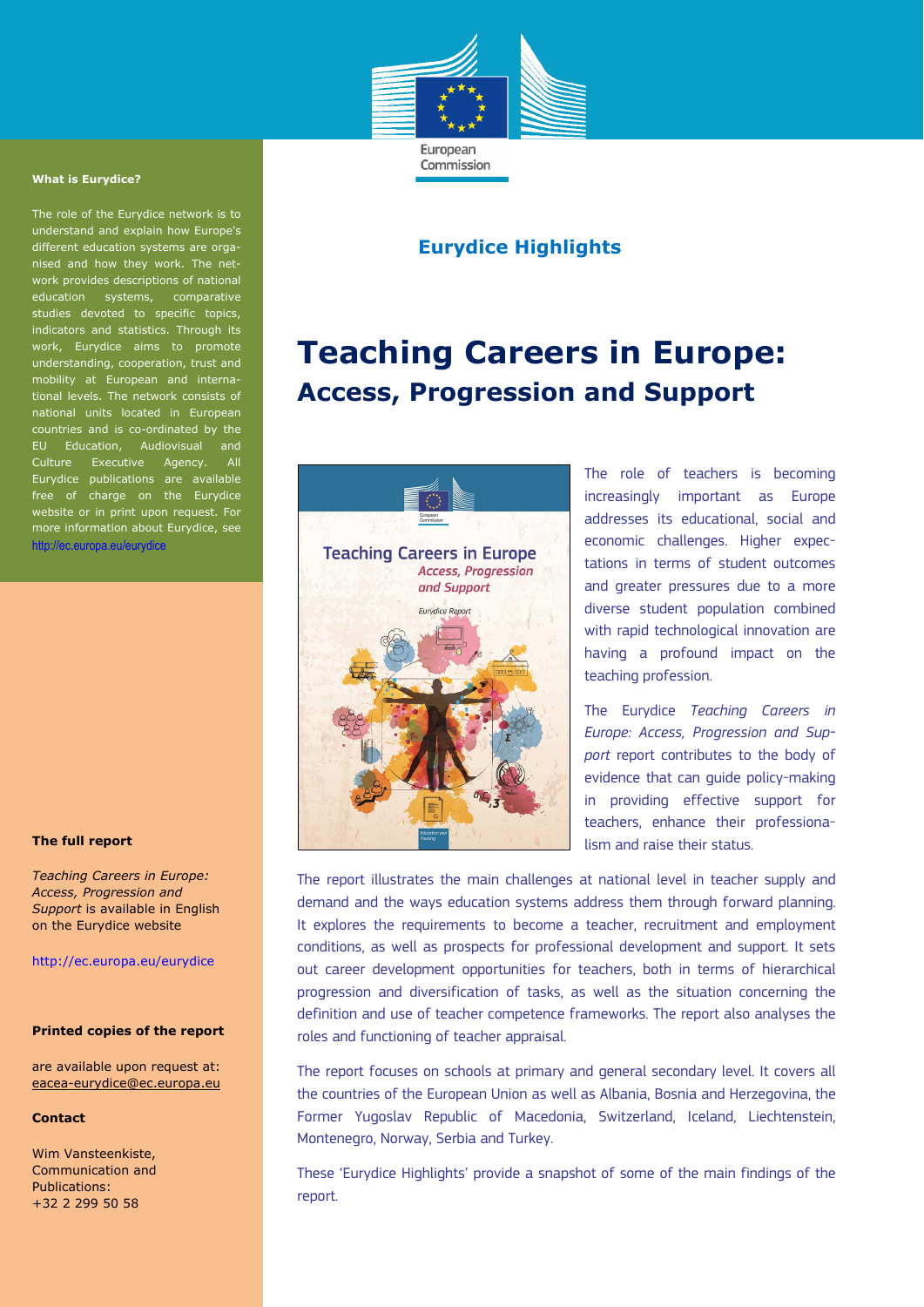

Commission

### **What is Eurydice?**

The role of the Eurydice network is to understand and explain how Europe's different education systems are organised and how they work. The network provides descriptions of national education systems, comparative  $\overline{\text{e}}$ s devoted to specific topi indicators and statistics. Through its work, Eurydice aims to promote understanding, cooperation, trust and mobility at European and international levels. The network consists of national units located in European countries and is co-ordinated by the EU Education, Audiovisual and Culture Executive Agency. All Eurydice publications are available free of charge on the Eurydice website or in print upon request. For more information about Eurydice, see http://ec.europa.eu/eurydice

### **The full report**

*Teaching Careers in Europe: Access, Progression and Support* is available in English on the Eurydice website

http://ec.europa.eu/eurydice

### **Printed copies of the report**

are available upon request at: eacea-eurydice@ec.europa.eu

#### **Contact**

Wim Vansteenkiste, Communication and Publications: +32 2 299 50 58

# **Eurydice Highlights**

# **Teaching Careers in Europe: Access, Progression and Support**



The role of teachers is becoming increasingly important as Europe addresses its educational, social and economic challenges. Higher expectations in terms of student outcomes and greater pressures due to a more diverse student population combined with rapid technological innovation are having a profound impact on the teaching profession.

The Eurydice *Teaching Careers in Europe: Access, Progression and Support* report contributes to the body of evidence that can guide policy-making in providing effective support for teachers, enhance their professionalism and raise their status.

The report illustrates the main challenges at national level in teacher supply and demand and the ways education systems address them through forward planning. It explores the requirements to become a teacher, recruitment and employment conditions, as well as prospects for professional development and support. It sets out career development opportunities for teachers, both in terms of hierarchical progression and diversification of tasks, as well as the situation concerning the definition and use of teacher competence frameworks. The report also analyses the roles and functioning of teacher appraisal.

The report focuses on schools at primary and general secondary level. It covers all the countries of the European Union as well as Albania, Bosnia and Herzegovina, the Former Yugoslav Republic of Macedonia, Switzerland, Iceland, Liechtenstein, Montenegro, Norway, Serbia and Turkey.

These 'Eurydice Highlights' provide a snapshot of some of the main findings of the report.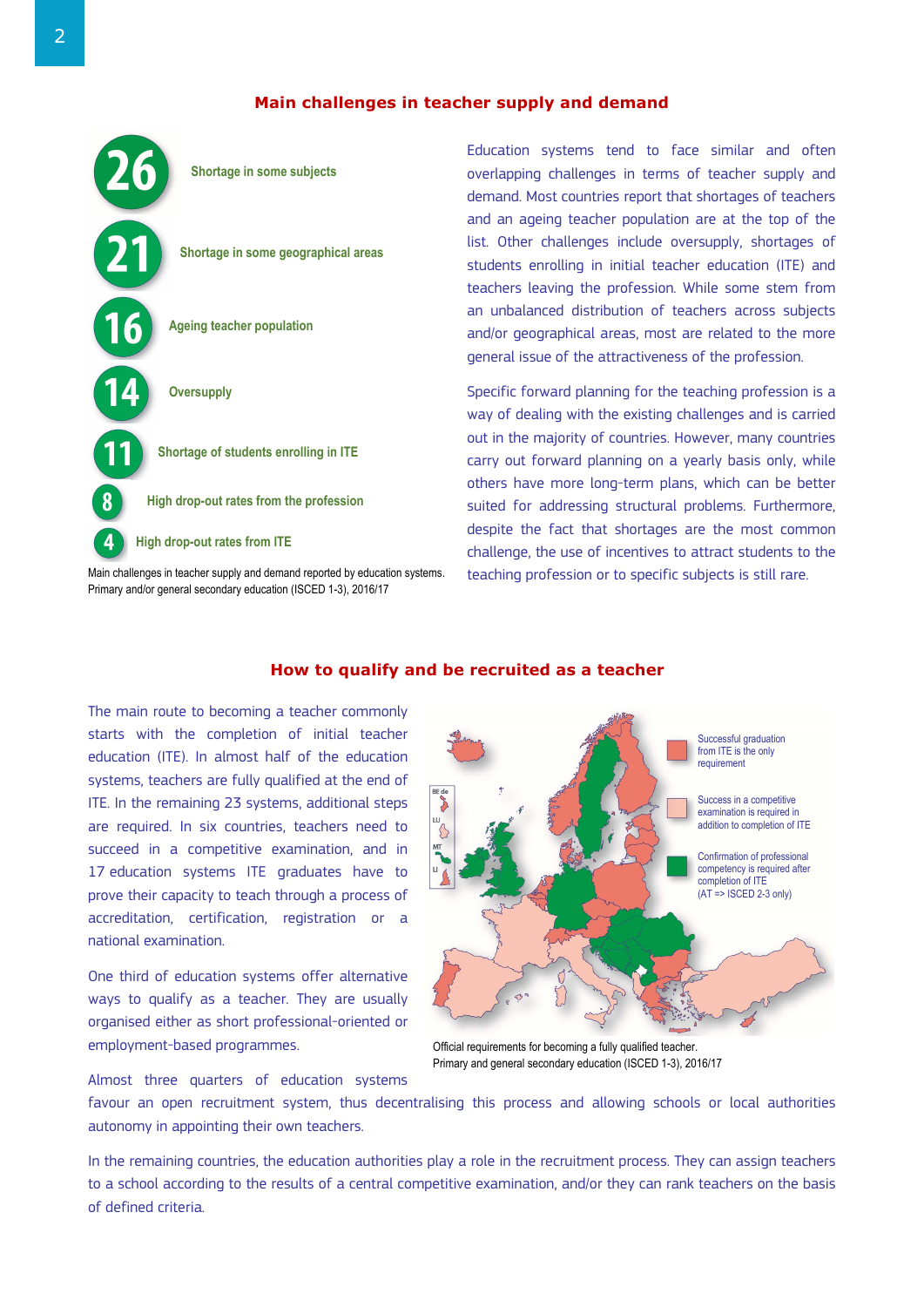# **Main challenges in teacher supply and demand**



Primary and/or general secondary education (ISCED 1-3), 2016/17

Education systems tend to face similar and often overlapping challenges in terms of teacher supply and demand. Most countries report that shortages of teachers and an ageing teacher population are at the top of the list. Other challenges include oversupply, shortages of students enrolling in initial teacher education (ITE) and teachers leaving the profession. While some stem from an unbalanced distribution of teachers across subjects and/or geographical areas, most are related to the more general issue of the attractiveness of the profession.

Specific forward planning for the teaching profession is a way of dealing with the existing challenges and is carried out in the majority of countries. However, many countries carry out forward planning on a yearly basis only, while others have more long-term plans, which can be better suited for addressing structural problems. Furthermore, despite the fact that shortages are the most common challenge, the use of incentives to attract students to the teaching profession or to specific subjects is still rare.

# The main route to becoming a teacher commonly starts with the completion of initial teacher education (ITE). In almost half of the education systems, teachers are fully qualified at the end of ITE. In the remaining 23 systems, additional steps are required. In six countries, teachers need to succeed in a competitive examination, and in 17 education systems ITE graduates have to prove their capacity to teach through a process of accreditation, certification, registration or a national examination.

One third of education systems offer alternative ways to qualify as a teacher. They are usually organised either as short professional-oriented or employment-based programmes.

Almost three quarters of education systems



Official requirements for becoming a fully qualified teacher. Primary and general secondary education (ISCED 1-3), 2016/17

favour an open recruitment system, thus decentralising this process and allowing schools or local authorities autonomy in appointing their own teachers.

In the remaining countries, the education authorities play a role in the recruitment process. They can assign teachers to a school according to the results of a central competitive examination, and/or they can rank teachers on the basis of defined criteria.

# **How to qualify and be recruited as a teacher**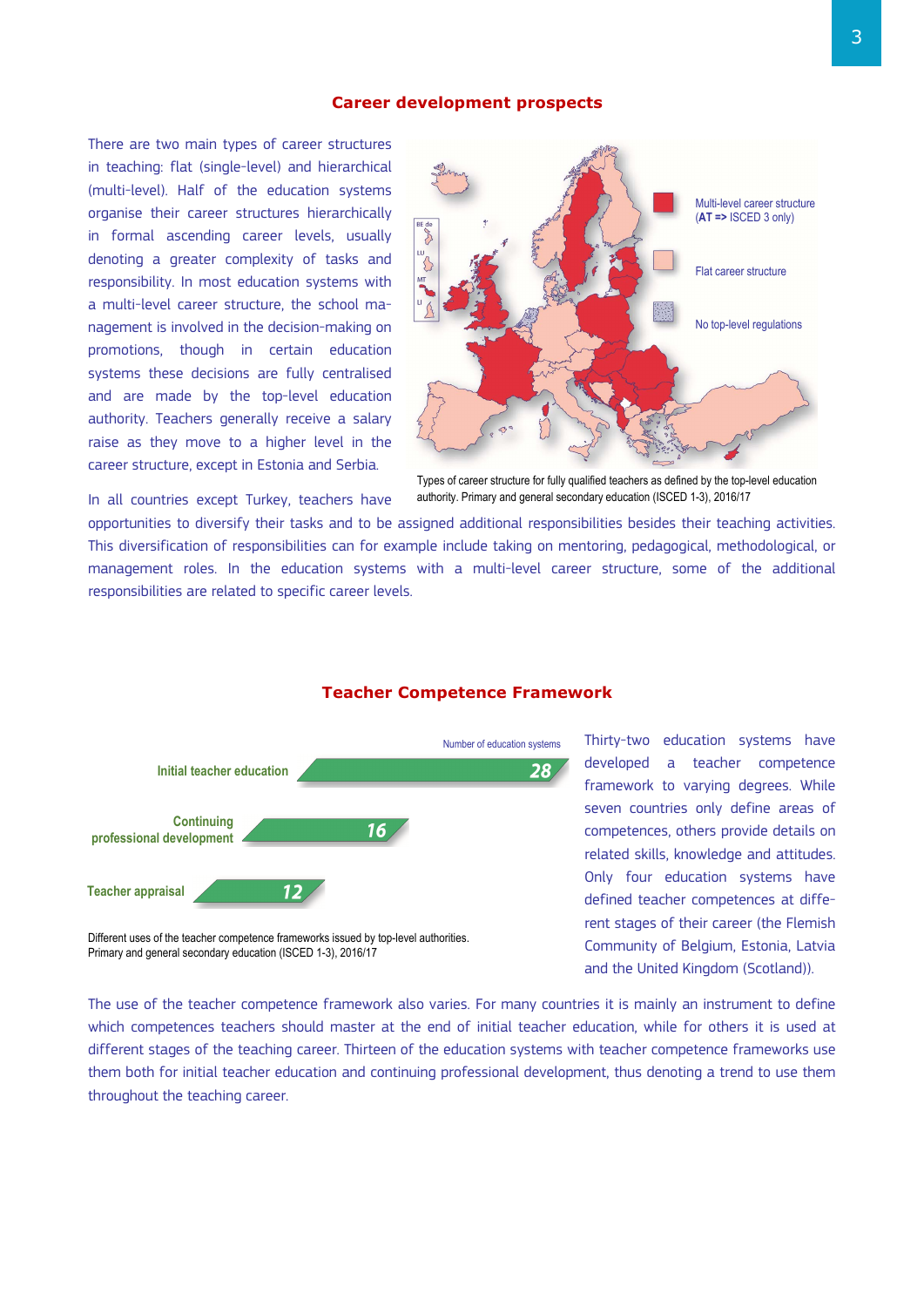### **Career development prospects**

There are two main types of career structures in teaching: flat (single-level) and hierarchical (multi-level). Half of the education systems organise their career structures hierarchically in formal ascending career levels, usually denoting a greater complexity of tasks and responsibility. In most education systems with a multi-level career structure, the school management is involved in the decision-making on promotions, though in certain education systems these decisions are fully centralised and are made by the top-level education authority. Teachers generally receive a salary raise as they move to a higher level in the career structure, except in Estonia and Serbia.

In all countries except Turkey, teachers have



authority. Primary and general secondary education (ISCED 1-3), 2016/17

opportunities to diversify their tasks and to be assigned additional responsibilities besides their teaching activities. This diversification of responsibilities can for example include taking on mentoring, pedagogical, methodological, or management roles. In the education systems with a multi-level career structure, some of the additional responsibilities are related to specific career levels.

### **Teacher Competence Framework**



Different uses of the teacher competence frameworks issued by top-level authorities. Primary and general secondary education (ISCED 1-3), 2016/17

Thirty-two education systems have developed a teacher competence framework to varying degrees. While seven countries only define areas of competences, others provide details on related skills, knowledge and attitudes. Only four education systems have defined teacher competences at different stages of their career (the Flemish Community of Belgium, Estonia, Latvia and the United Kingdom (Scotland)).

The use of the teacher competence framework also varies. For many countries it is mainly an instrument to define which competences teachers should master at the end of initial teacher education, while for others it is used at different stages of the teaching career. Thirteen of the education systems with teacher competence frameworks use them both for initial teacher education and continuing professional development, thus denoting a trend to use them throughout the teaching career.